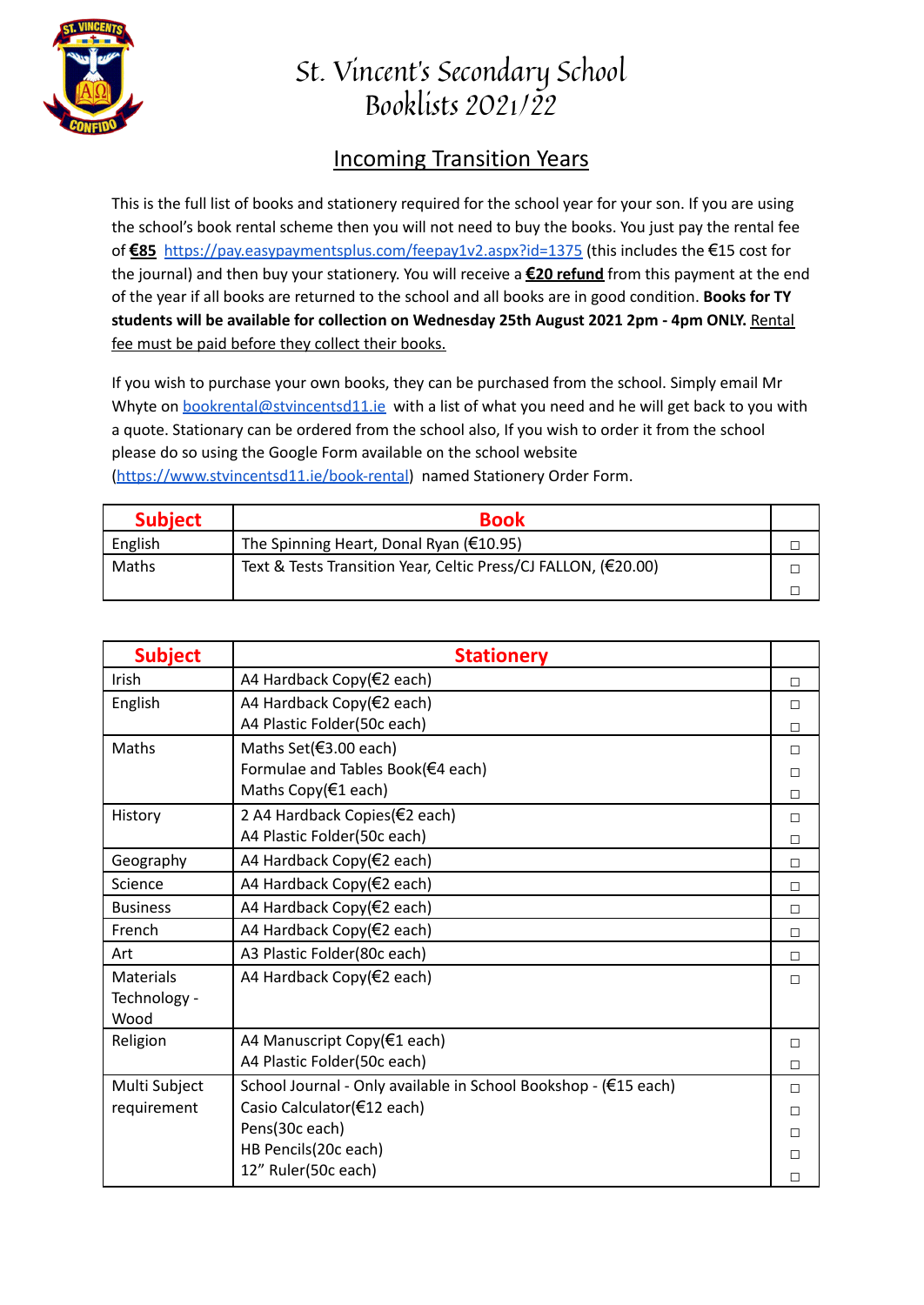

## St. Vincent's Secondary School Booklists 2021/22

## Incoming Transition Years

This is the full list of books and stationery required for the school year for your son. If you are using the school's book rental scheme then you will not need to buy the books. You just pay the rental fee of **€85** <https://pay.easypaymentsplus.com/feepay1v2.aspx?id=1375> (this includes the €15 cost for the journal) and then buy your stationery. You will receive a **€20 refund** from this payment at the end of the year if all books are returned to the school and all books are in good condition. **Books for TY students will be available for collection on Wednesday 25th August 2021 2pm - 4pm ONLY.** Rental fee must be paid before they collect their books.

If you wish to purchase your own books, they can be purchased from the school. Simply email Mr Whyte on [bookrental@stvincentsd11.ie](mailto:bookrental@stvincentsd11.ie) with a list of what you need and he will get back to you with a quote. Stationary can be ordered from the school also, If you wish to order it from the school please do so using the Google Form available on the school website [\(https://www.stvincentsd11.ie/book-rental\)](https://www.stvincentsd11.ie/book-rental) named Stationery Order Form.

| <b>Subject</b> | <b>Book</b>                                                    |  |
|----------------|----------------------------------------------------------------|--|
| English        | The Spinning Heart, Donal Ryan ( $\epsilon$ 10.95)             |  |
| Maths          | Text & Tests Transition Year, Celtic Press/CJ FALLON, (€20.00) |  |
|                |                                                                |  |

| <b>Subject</b>   | <b>Stationery</b>                                               |        |
|------------------|-----------------------------------------------------------------|--------|
| Irish            | A4 Hardback Copy(€2 each)                                       | $\Box$ |
| English          | A4 Hardback Copy(€2 each)                                       | П      |
|                  | A4 Plastic Folder(50c each)                                     | $\Box$ |
| Maths            | Maths Set(€3.00 each)                                           | $\Box$ |
|                  | Formulae and Tables Book(€4 each)                               | П      |
|                  | Maths Copy(€1 each)                                             | П      |
| History          | 2 A4 Hardback Copies(€2 each)                                   | П      |
|                  | A4 Plastic Folder(50c each)                                     | П      |
| Geography        | A4 Hardback Copy(€2 each)                                       | п      |
| Science          | A4 Hardback Copy(€2 each)                                       | $\Box$ |
| <b>Business</b>  | A4 Hardback Copy(€2 each)                                       | $\Box$ |
| French           | A4 Hardback Copy(€2 each)                                       | П      |
| Art              | A3 Plastic Folder(80c each)                                     | П      |
| <b>Materials</b> | A4 Hardback Copy(€2 each)                                       | П      |
| Technology -     |                                                                 |        |
| Wood             |                                                                 |        |
| Religion         | A4 Manuscript Copy(€1 each)                                     | $\Box$ |
|                  | A4 Plastic Folder(50c each)                                     | П      |
| Multi Subject    | School Journal - Only available in School Bookshop - (€15 each) | $\Box$ |
| requirement      | Casio Calculator(€12 each)                                      | $\Box$ |
|                  | Pens(30c each)                                                  | П      |
|                  | HB Pencils(20c each)                                            | П      |
|                  | 12" Ruler(50c each)                                             | п      |